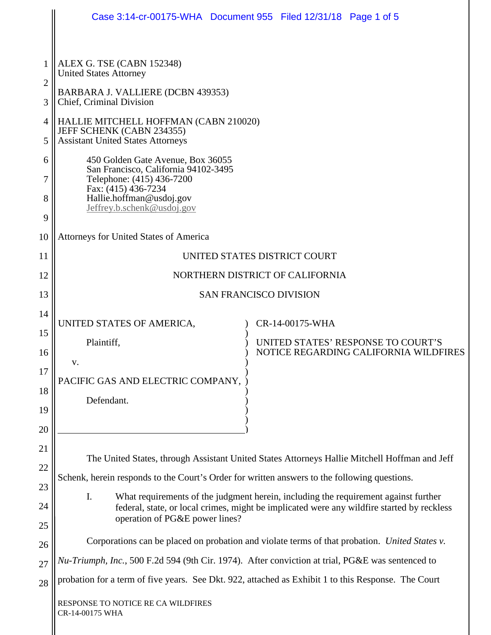|                                                   | Case 3:14-cr-00175-WHA  Document 955  Filed 12/31/18  Page 1 of 5                                                                                                                                                                                                                                                                                                                                                                        |
|---------------------------------------------------|------------------------------------------------------------------------------------------------------------------------------------------------------------------------------------------------------------------------------------------------------------------------------------------------------------------------------------------------------------------------------------------------------------------------------------------|
| $\overline{2}$<br>3<br>4<br>5<br>6<br>7<br>8<br>9 | ALEX G. TSE (CABN 152348)<br><b>United States Attorney</b><br>BARBARA J. VALLIERE (DCBN 439353)<br>Chief, Criminal Division<br>HALLIE MITCHELL HOFFMAN (CABN 210020)<br>JEFF SCHENK (CABN 234355)<br><b>Assistant United States Attorneys</b><br>450 Golden Gate Avenue, Box 36055<br>San Francisco, California 94102-3495<br>Telephone: (415) 436-7200<br>Fax: (415) 436-7234<br>Hallie.hoffman@usdoj.gov<br>Jeffrey.b.schenk@usdoj.gov |
| 10                                                | Attorneys for United States of America                                                                                                                                                                                                                                                                                                                                                                                                   |
| 11                                                | UNITED STATES DISTRICT COURT                                                                                                                                                                                                                                                                                                                                                                                                             |
| 12                                                | NORTHERN DISTRICT OF CALIFORNIA                                                                                                                                                                                                                                                                                                                                                                                                          |
| 13                                                | <b>SAN FRANCISCO DIVISION</b>                                                                                                                                                                                                                                                                                                                                                                                                            |
| 14                                                | UNITED STATES OF AMERICA,<br>CR-14-00175-WHA                                                                                                                                                                                                                                                                                                                                                                                             |
| 15<br>16                                          | Plaintiff,<br>UNITED STATES' RESPONSE TO COURT'S<br>NOTICE REGARDING CALIFORNIA WILDFIRES                                                                                                                                                                                                                                                                                                                                                |
| 17                                                | v.                                                                                                                                                                                                                                                                                                                                                                                                                                       |
| 18                                                | PACIFIC GAS AND ELECTRIC COMPANY,                                                                                                                                                                                                                                                                                                                                                                                                        |
| 19                                                | Defendant.                                                                                                                                                                                                                                                                                                                                                                                                                               |
| 20                                                |                                                                                                                                                                                                                                                                                                                                                                                                                                          |
| 21                                                |                                                                                                                                                                                                                                                                                                                                                                                                                                          |
| 22                                                | The United States, through Assistant United States Attorneys Hallie Mitchell Hoffman and Jeff                                                                                                                                                                                                                                                                                                                                            |
| 23                                                | Schenk, herein responds to the Court's Order for written answers to the following questions.<br>I.                                                                                                                                                                                                                                                                                                                                       |
| 24                                                | What requirements of the judgment herein, including the requirement against further<br>federal, state, or local crimes, might be implicated were any wildfire started by reckless                                                                                                                                                                                                                                                        |
| 25                                                | operation of PG&E power lines?                                                                                                                                                                                                                                                                                                                                                                                                           |
| 26                                                | Corporations can be placed on probation and violate terms of that probation. United States v.                                                                                                                                                                                                                                                                                                                                            |
| 27                                                | Nu-Triumph, Inc., 500 F.2d 594 (9th Cir. 1974). After conviction at trial, PG&E was sentenced to                                                                                                                                                                                                                                                                                                                                         |
| 28                                                | probation for a term of five years. See Dkt. 922, attached as Exhibit 1 to this Response. The Court                                                                                                                                                                                                                                                                                                                                      |
|                                                   | RESPONSE TO NOTICE RE CA WILDFIRES<br>CR-14-00175 WHA                                                                                                                                                                                                                                                                                                                                                                                    |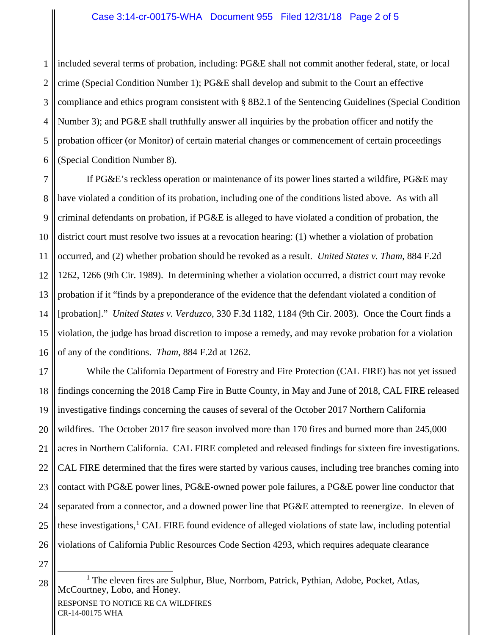## Case 3:14-cr-00175-WHA Document 955 Filed 12/31/18 Page 2 of 5

1 2 3 4 5 6 included several terms of probation, including: PG&E shall not commit another federal, state, or local crime (Special Condition Number 1); PG&E shall develop and submit to the Court an effective compliance and ethics program consistent with § 8B2.1 of the Sentencing Guidelines (Special Condition Number 3); and PG&E shall truthfully answer all inquiries by the probation officer and notify the probation officer (or Monitor) of certain material changes or commencement of certain proceedings (Special Condition Number 8).

7 8 9 10 11 12 13 14 15 16 If PG&E's reckless operation or maintenance of its power lines started a wildfire, PG&E may have violated a condition of its probation, including one of the conditions listed above. As with all criminal defendants on probation, if PG&E is alleged to have violated a condition of probation, the district court must resolve two issues at a revocation hearing: (1) whether a violation of probation occurred, and (2) whether probation should be revoked as a result. *United States v. Tham*, 884 F.2d 1262, 1266 (9th Cir. 1989). In determining whether a violation occurred, a district court may revoke probation if it "finds by a preponderance of the evidence that the defendant violated a condition of [probation]." *United States v. Verduzco*, 330 F.3d 1182, 1184 (9th Cir. 2003). Once the Court finds a violation, the judge has broad discretion to impose a remedy, and may revoke probation for a violation of any of the conditions. *Tham*, 884 F.2d at 1262.

17 18 19 20 21 22 23 24 25 26 While the California Department of Forestry and Fire Protection (CAL FIRE) has not yet issued findings concerning the 2018 Camp Fire in Butte County, in May and June of 2018, CAL FIRE released investigative findings concerning the causes of several of the October 2017 Northern California wildfires. The October 2017 fire season involved more than 170 fires and burned more than 245,000 acres in Northern California. CAL FIRE completed and released findings for sixteen fire investigations. CAL FIRE determined that the fires were started by various causes, including tree branches coming into contact with PG&E power lines, PG&E-owned power pole failures, a PG&E power line conductor that separated from a connector, and a downed power line that PG&E attempted to reenergize. In eleven of these investigations,<sup>[1](#page-1-0)</sup> CAL FIRE found evidence of alleged violations of state law, including potential violations of California Public Resources Code Section 4293, which requires adequate clearance

27

<span id="page-1-0"></span>28

<sup>&</sup>lt;sup>1</sup> The eleven fires are Sulphur, Blue, Norrbom, Patrick, Pythian, Adobe, Pocket, Atlas, McCourtney, Lobo, and Honey.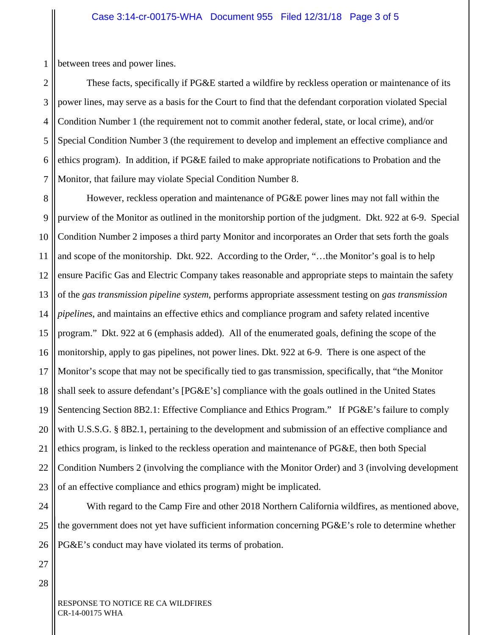1 between trees and power lines.

2 3 4 5 6 7 These facts, specifically if PG&E started a wildfire by reckless operation or maintenance of its power lines, may serve as a basis for the Court to find that the defendant corporation violated Special Condition Number 1 (the requirement not to commit another federal, state, or local crime), and/or Special Condition Number 3 (the requirement to develop and implement an effective compliance and ethics program). In addition, if PG&E failed to make appropriate notifications to Probation and the Monitor, that failure may violate Special Condition Number 8.

8 9 10 11 12 13 14 15 16 17 18 19 20 21 22 23 However, reckless operation and maintenance of PG&E power lines may not fall within the purview of the Monitor as outlined in the monitorship portion of the judgment. Dkt. 922 at 6-9. Special Condition Number 2 imposes a third party Monitor and incorporates an Order that sets forth the goals and scope of the monitorship. Dkt. 922. According to the Order, "…the Monitor's goal is to help ensure Pacific Gas and Electric Company takes reasonable and appropriate steps to maintain the safety of the *gas transmission pipeline system*, performs appropriate assessment testing on *gas transmission pipelines*, and maintains an effective ethics and compliance program and safety related incentive program." Dkt. 922 at 6 (emphasis added). All of the enumerated goals, defining the scope of the monitorship, apply to gas pipelines, not power lines. Dkt. 922 at 6-9. There is one aspect of the Monitor's scope that may not be specifically tied to gas transmission, specifically, that "the Monitor shall seek to assure defendant's [PG&E's] compliance with the goals outlined in the United States Sentencing Section 8B2.1: Effective Compliance and Ethics Program." If PG&E's failure to comply with U.S.S.G. § 8B2.1, pertaining to the development and submission of an effective compliance and ethics program, is linked to the reckless operation and maintenance of PG&E, then both Special Condition Numbers 2 (involving the compliance with the Monitor Order) and 3 (involving development of an effective compliance and ethics program) might be implicated.

24 25 26 With regard to the Camp Fire and other 2018 Northern California wildfires, as mentioned above, the government does not yet have sufficient information concerning PG&E's role to determine whether PG&E's conduct may have violated its terms of probation.

27 28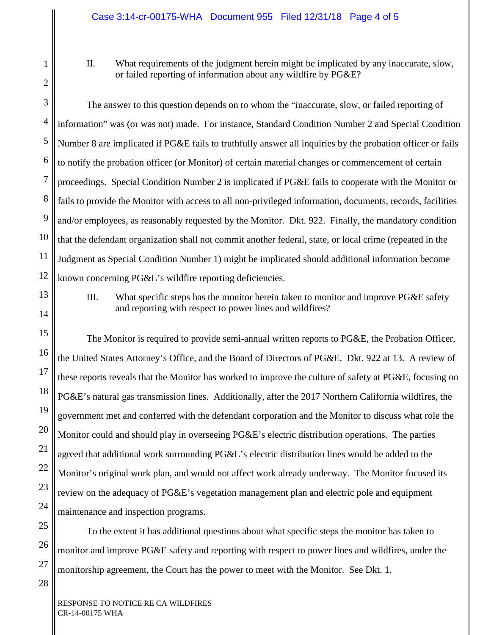## II. What requirements of the judgment herein might be implicated by any inaccurate, slow, or failed reporting of information about any wildfire by PG&E?

The answer to this question depends on to whom the "inaccurate, slow, or failed reporting of information" was (or was not) made. For instance, Standard Condition Number 2 and Special Condition Number 8 are implicated if PG&E fails to truthfully answer all inquiries by the probation officer or fails to notify the probation officer (or Monitor) of certain material changes or commencement of certain proceedings. Special Condition Number 2 is implicated if PG&E fails to cooperate with the Monitor or fails to provide the Monitor with access to all non-privileged information, documents, records, facilities and/or employees, as reasonably requested by the Monitor. Dkt. 922. Finally, the mandatory condition that the defendant organization shall not commit another federal, state, or local crime (repeated in the Judgment as Special Condition Number 1) might be implicated should additional information become known concerning PG&E's wildfire reporting deficiencies.

13 14

15

16

17

18

19

20

21

22

23

24

25

26

1

2

3

4

5

6

7

8

9

10

11

12

III. What specific steps has the monitor herein taken to monitor and improve PG&E safety and reporting with respect to power lines and wildfires?

The Monitor is required to provide semi-annual written reports to PG&E, the Probation Officer, the United States Attorney's Office, and the Board of Directors of PG&E. Dkt. 922 at 13. A review of these reports reveals that the Monitor has worked to improve the culture of safety at PG&E, focusing on PG&E's natural gas transmission lines. Additionally, after the 2017 Northern California wildfires, the government met and conferred with the defendant corporation and the Monitor to discuss what role the Monitor could and should play in overseeing PG&E's electric distribution operations. The parties agreed that additional work surrounding PG&E's electric distribution lines would be added to the Monitor's original work plan, and would not affect work already underway. The Monitor focused its review on the adequacy of PG&E's vegetation management plan and electric pole and equipment maintenance and inspection programs.

To the extent it has additional questions about what specific steps the monitor has taken to monitor and improve PG&E safety and reporting with respect to power lines and wildfires, under the monitorship agreement, the Court has the power to meet with the Monitor. See Dkt. 1.

RESPONSE TO NOTICE RE CA WILDFIRES CR-14-00175 WHA

27 28